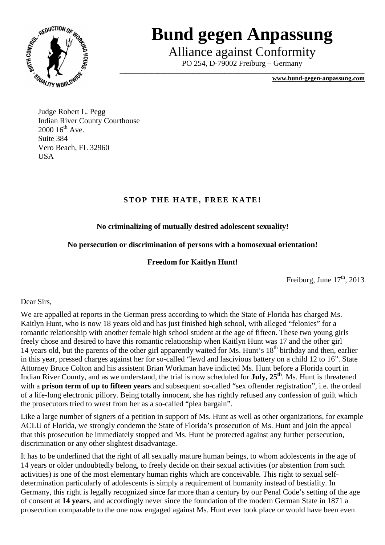

# **Bund gegen Anpassung**

Alliance against Conformity

PO 254, D-79002 Freiburg – Germany \_\_\_\_\_\_\_\_\_\_\_\_\_\_\_\_\_\_\_\_\_\_\_\_\_\_\_\_\_\_\_\_\_\_\_\_\_\_\_\_\_\_\_\_\_\_\_\_\_\_\_\_\_\_\_\_\_\_\_\_\_\_\_\_\_\_\_\_\_\_\_\_\_\_\_\_\_\_\_\_\_\_\_\_

**www.bund-gegen-anpassung.com**

Judge Robert L. Pegg Indian River County Courthouse  $2000 16^{th}$  Ave. Suite 384 Vero Beach, FL 32960 **USA** 

### **STOP THE HATE, FREE KATE!**

## **No criminalizing of mutually desired adolescent sexuality!**

### **No persecution or discrimination of persons with a homosexual orientation!**

### **Freedom for Kaitlyn Hunt!**

Freiburg, June  $17<sup>th</sup>$ , 2013

#### Dear Sirs,

We are appalled at reports in the German press according to which the State of Florida has charged Ms. Kaitlyn Hunt, who is now 18 years old and has just finished high school, with alleged "felonies" for a romantic relationship with another female high school student at the age of fifteen. These two young girls freely chose and desired to have this romantic relationship when Kaitlyn Hunt was 17 and the other girl 14 years old, but the parents of the other girl apparently waited for Ms. Hunt's 18<sup>th</sup> birthday and then, earlier in this year, pressed charges against her for so-called "lewd and lascivious battery on a child 12 to 16". State Attorney Bruce Colton and his assistent Brian Workman have indicted Ms. Hunt before a Florida court in Indian River County, and as we understand, the trial is now scheduled for **July, 25th**. Ms. Hunt is threatened with a **prison term of up to fifteen years** and subsequent so-called "sex offender registration", i.e. the ordeal of a life-long electronic pillory. Being totally innocent, she has rightly refused any confession of guilt which the prosecutors tried to wrest from her as a so-called "plea bargain".

Like a large number of signers of a petition in support of Ms. Hunt as well as other organizations, for example ACLU of Florida, we strongly condemn the State of Florida's prosecution of Ms. Hunt and join the appeal that this prosecution be immediately stopped and Ms. Hunt be protected against any further persecution, discrimination or any other slightest disadvantage.

It has to be underlined that the right of all sexually mature human beings, to whom adolescents in the age of 14 years or older undoubtedly belong, to freely decide on their sexual activities (or abstention from such activities) is one of the most elementary human rights which are conceivable. This right to sexual selfdetermination particularly of adolescents is simply a requirement of humanity instead of bestiality. In Germany, this right is legally recognized since far more than a century by our Penal Code's setting of the age of consent at **14 years**, and accordingly never since the foundation of the modern German State in 1871 a prosecution comparable to the one now engaged against Ms. Hunt ever took place or would have been even